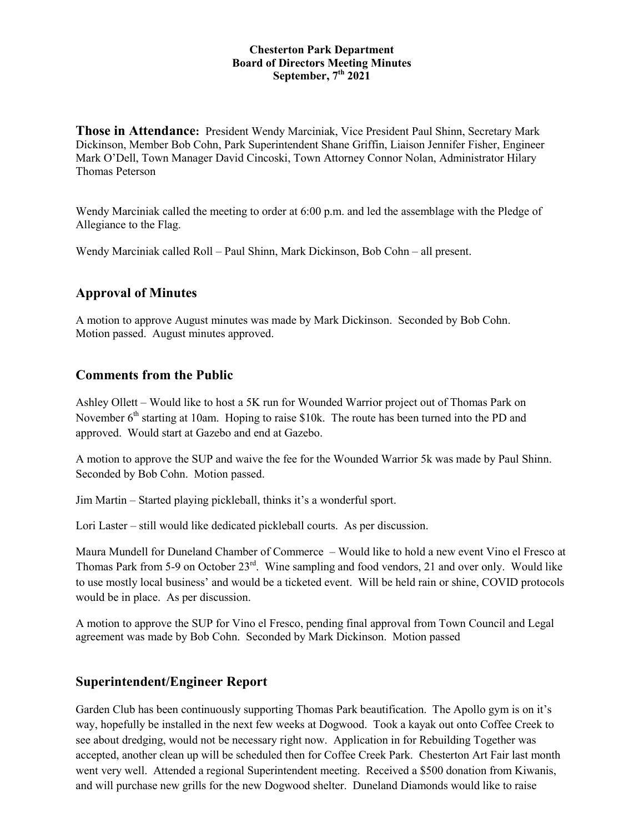#### **Chesterton Park Department Board of Directors Meeting Minutes September, 7 th 2021**

**Those in Attendance:** President Wendy Marciniak, Vice President Paul Shinn, Secretary Mark Dickinson, Member Bob Cohn, Park Superintendent Shane Griffin, Liaison Jennifer Fisher, Engineer Mark O'Dell, Town Manager David Cincoski, Town Attorney Connor Nolan, Administrator Hilary Thomas Peterson

Wendy Marciniak called the meeting to order at 6:00 p.m. and led the assemblage with the Pledge of Allegiance to the Flag.

Wendy Marciniak called Roll – Paul Shinn, Mark Dickinson, Bob Cohn – all present.

### **Approval of Minutes**

A motion to approve August minutes was made by Mark Dickinson. Seconded by Bob Cohn. Motion passed. August minutes approved.

### **Comments from the Public**

Ashley Ollett – Would like to host a 5K run for Wounded Warrior project out of Thomas Park on November  $6<sup>th</sup>$  starting at 10am. Hoping to raise \$10k. The route has been turned into the PD and approved. Would start at Gazebo and end at Gazebo.

A motion to approve the SUP and waive the fee for the Wounded Warrior 5k was made by Paul Shinn. Seconded by Bob Cohn. Motion passed.

Jim Martin – Started playing pickleball, thinks it's a wonderful sport.

Lori Laster – still would like dedicated pickleball courts. As per discussion.

Maura Mundell for Duneland Chamber of Commerce – Would like to hold a new event Vino el Fresco at Thomas Park from 5-9 on October 23<sup>rd</sup>. Wine sampling and food vendors, 21 and over only. Would like to use mostly local business' and would be a ticketed event. Will be held rain or shine, COVID protocols would be in place. As per discussion.

A motion to approve the SUP for Vino el Fresco, pending final approval from Town Council and Legal agreement was made by Bob Cohn. Seconded by Mark Dickinson. Motion passed

### **Superintendent/Engineer Report**

Garden Club has been continuously supporting Thomas Park beautification. The Apollo gym is on it's way, hopefully be installed in the next few weeks at Dogwood. Took a kayak out onto Coffee Creek to see about dredging, would not be necessary right now. Application in for Rebuilding Together was accepted, another clean up will be scheduled then for Coffee Creek Park. Chesterton Art Fair last month went very well. Attended a regional Superintendent meeting. Received a \$500 donation from Kiwanis, and will purchase new grills for the new Dogwood shelter. Duneland Diamonds would like to raise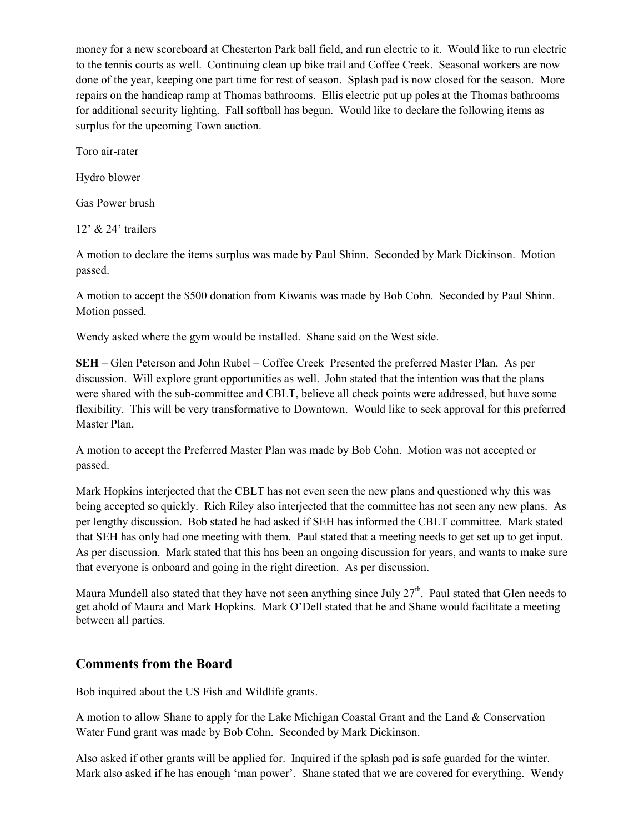money for a new scoreboard at Chesterton Park ball field, and run electric to it. Would like to run electric to the tennis courts as well. Continuing clean up bike trail and Coffee Creek. Seasonal workers are now done of the year, keeping one part time for rest of season. Splash pad is now closed for the season. More repairs on the handicap ramp at Thomas bathrooms. Ellis electric put up poles at the Thomas bathrooms for additional security lighting. Fall softball has begun. Would like to declare the following items as surplus for the upcoming Town auction.

Toro air-rater

Hydro blower

Gas Power brush

12' & 24' trailers

A motion to declare the items surplus was made by Paul Shinn. Seconded by Mark Dickinson. Motion passed.

A motion to accept the \$500 donation from Kiwanis was made by Bob Cohn. Seconded by Paul Shinn. Motion passed.

Wendy asked where the gym would be installed. Shane said on the West side.

**SEH** – Glen Peterson and John Rubel – Coffee Creek Presented the preferred Master Plan. As per discussion. Will explore grant opportunities as well. John stated that the intention was that the plans were shared with the sub-committee and CBLT, believe all check points were addressed, but have some flexibility. This will be very transformative to Downtown. Would like to seek approval for this preferred Master Plan.

A motion to accept the Preferred Master Plan was made by Bob Cohn. Motion was not accepted or passed.

Mark Hopkins interjected that the CBLT has not even seen the new plans and questioned why this was being accepted so quickly. Rich Riley also interjected that the committee has not seen any new plans. As per lengthy discussion. Bob stated he had asked if SEH has informed the CBLT committee. Mark stated that SEH has only had one meeting with them. Paul stated that a meeting needs to get set up to get input. As per discussion. Mark stated that this has been an ongoing discussion for years, and wants to make sure that everyone is onboard and going in the right direction. As per discussion.

Maura Mundell also stated that they have not seen anything since July 27<sup>th</sup>. Paul stated that Glen needs to get ahold of Maura and Mark Hopkins. Mark O'Dell stated that he and Shane would facilitate a meeting between all parties.

# **Comments from the Board**

Bob inquired about the US Fish and Wildlife grants.

A motion to allow Shane to apply for the Lake Michigan Coastal Grant and the Land & Conservation Water Fund grant was made by Bob Cohn. Seconded by Mark Dickinson.

Also asked if other grants will be applied for. Inquired if the splash pad is safe guarded for the winter. Mark also asked if he has enough 'man power'. Shane stated that we are covered for everything. Wendy